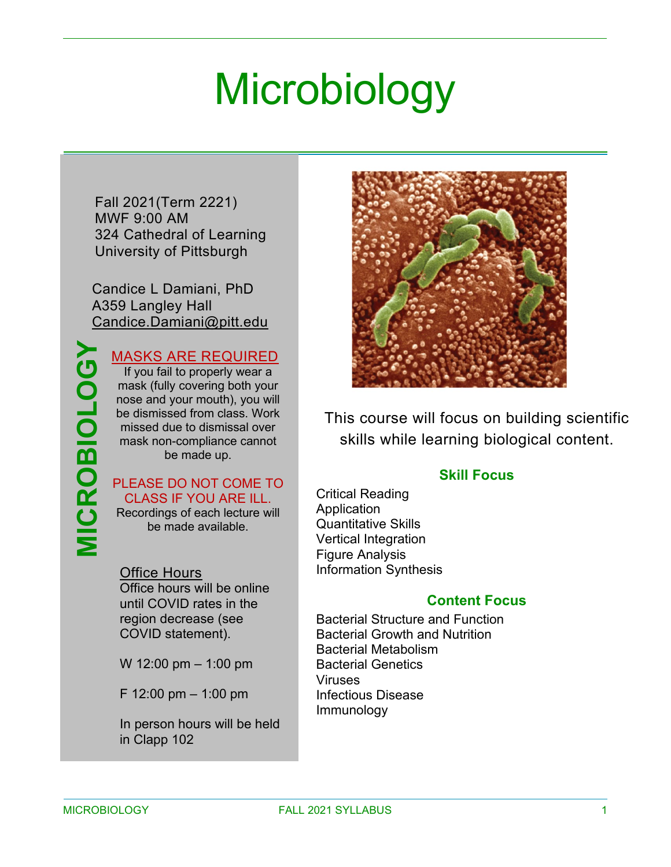# **Microbiology**

Fall 2021(Term 2221) MWF 9:00 AM 324 Cathedral of Learning University of Pittsburgh

Candice L Damiani, PhD A359 Langley Hall [Candice.Damiani@pitt.edu](mailto:Candice.Damiani@pitt.edu)

#### MASKS ARE REQUIRED

If you fail to properly wear a mask (fully covering both your nose and your mouth), you will be dismissed from class. Work missed due to dismissal over mask non-compliance cannot be made up.

#### PLEASE DO NOT COME TO CLASS IF YOU ARE ILL.

Recordings of each lecture will be made available.

#### Office Hours

Office hours will be online until COVID rates in the region decrease (see COVID statement).

W 12:00 pm – 1:00 pm

F 12:00 pm – 1:00 pm

In person hours will be held in Clapp 102



This course will focus on building scientific skills while learning biological content.

#### **Skill Focus**

Critical Reading Application Quantitative Skills Vertical Integration Figure Analysis Information Synthesis

#### **Content Focus**

Bacterial Structure and Function Bacterial Growth and Nutrition Bacterial Metabolism Bacterial Genetics Viruses Infectious Disease Immunology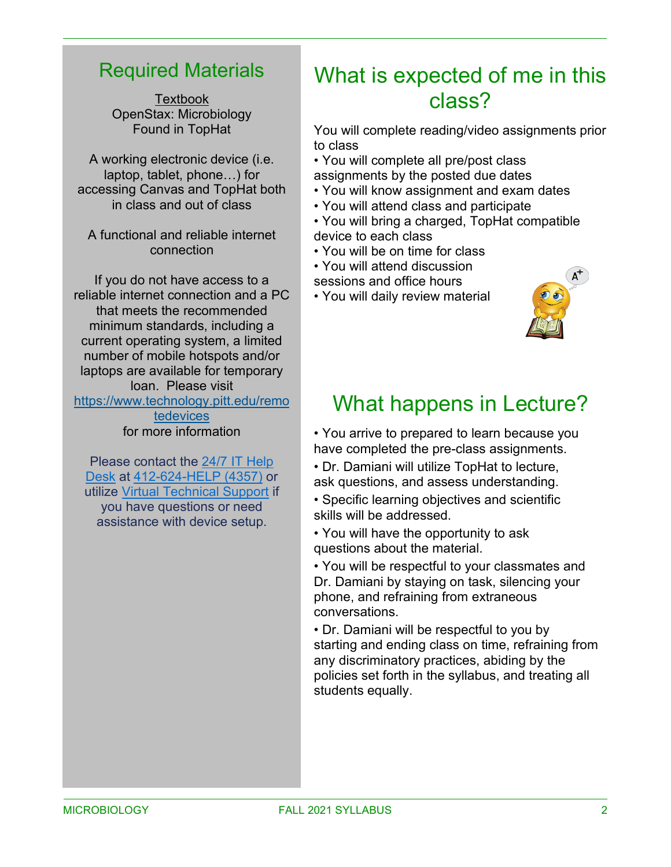#### Required Materials

**Textbook** OpenStax: Microbiology Found in TopHat

A working electronic device (i.e. laptop, tablet, phone…) for accessing Canvas and TopHat both in class and out of class

A functional and reliable internet connection

If you do not have access to a reliable internet connection and a PC that meets the recommended minimum standards, including a current operating system, a limited number of mobile hotspots and/or laptops are available for temporary loan. Please visit [https://www.technology.pitt.edu/remo](https://www.technology.pitt.edu/remotedevices) [tedevices](https://www.technology.pitt.edu/remotedevices) for more information

Please contact the 24/7 IT [Help](https://nam05.safelinks.protection.outlook.com/?url=https%3A%2F%2Funiversitycommunications-marketing.cmail19.com%2Ft%2Fj-l-qkljduy-irlkhtjhlh-u%2F&data=02%7C01%7CCandice.Damiani%40pitt.edu%7C7032032312f4416473ae08d83d79f948%7C9ef9f489e0a04eeb87cc3a526112fd0d%7C1%7C0%7C637326941363119170&sdata=%2BXkwPn%2FBtW%2FcFe7zHij3vo93N7N5eQtbCOhZVkPnsr8%3D&reserved=0) [Desk](https://nam05.safelinks.protection.outlook.com/?url=https%3A%2F%2Funiversitycommunications-marketing.cmail19.com%2Ft%2Fj-l-qkljduy-irlkhtjhlh-u%2F&data=02%7C01%7CCandice.Damiani%40pitt.edu%7C7032032312f4416473ae08d83d79f948%7C9ef9f489e0a04eeb87cc3a526112fd0d%7C1%7C0%7C637326941363119170&sdata=%2BXkwPn%2FBtW%2FcFe7zHij3vo93N7N5eQtbCOhZVkPnsr8%3D&reserved=0) at [412-624-HELP](https://nam05.safelinks.protection.outlook.com/?url=https%3A%2F%2Funiversitycommunications-marketing.cmail19.com%2Ft%2Fj-l-qkljduy-irlkhtjhlh-o%2F&data=02%7C01%7CCandice.Damiani%40pitt.edu%7C7032032312f4416473ae08d83d79f948%7C9ef9f489e0a04eeb87cc3a526112fd0d%7C1%7C0%7C637326941363129125&sdata=HvhVCvZb4nTS9Yd8bwRB9xKby67EZPux7EJ5j7DKkQc%3D&reserved=0) (4357) or utilize Virtual [Technical](https://nam05.safelinks.protection.outlook.com/?url=https%3A%2F%2Funiversitycommunications-marketing.cmail19.com%2Ft%2Fj-l-qkljduy-irlkhtjhlh-b%2F&data=02%7C01%7CCandice.Damiani%40pitt.edu%7C7032032312f4416473ae08d83d79f948%7C9ef9f489e0a04eeb87cc3a526112fd0d%7C1%7C0%7C637326941363129125&sdata=F3NGuRwkxbAw%2FAUBkgL42K067tF8slt7fIjTYdnoZxs%3D&reserved=0) Support if you have questions or need assistance with device setup.

#### What is expected of me in this class?

You will complete reading/video assignments prior to class

• You will complete all pre/post class assignments by the posted due dates

- You will know assignment and exam dates
- You will attend class and participate
- You will bring a charged, TopHat compatible device to each class
- You will be on time for class
- You will attend discussion
- sessions and office hours
- You will daily review material



### What happens in Lecture?

• You arrive to prepared to learn because you have completed the pre-class assignments.

• Dr. Damiani will utilize TopHat to lecture, ask questions, and assess understanding.

• Specific learning objectives and scientific skills will be addressed.

• You will have the opportunity to ask questions about the material.

• You will be respectful to your classmates and Dr. Damiani by staying on task, silencing your phone, and refraining from extraneous conversations.

• Dr. Damiani will be respectful to you by starting and ending class on time, refraining from any discriminatory practices, abiding by the policies set forth in the syllabus, and treating all students equally.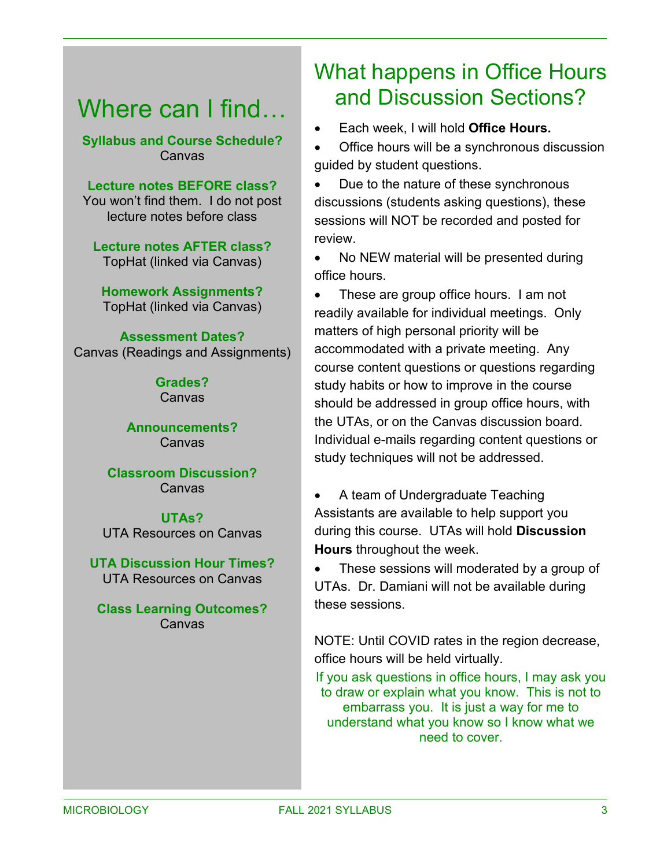### Where can I find...

**Syllabus and Course Schedule?** Canvas

**Lecture notes BEFORE class?** You won't find them. I do not post lecture notes before class

**Lecture notes AFTER class?** TopHat (linked via Canvas)

**Homework Assignments?** TopHat (linked via Canvas)

**Assessment Dates?** Canvas (Readings and Assignments)

> **Grades? Canvas**

**Announcements?** Canvas

**Classroom Discussion?** Canvas

**UTAs?** UTA Resources on Canvas

**UTA Discussion Hour Times?** UTA Resources on Canvas

**Class Learning Outcomes?** Canvas

### What happens in Office Hours and Discussion Sections?

• Each week, I will hold **Office Hours.**

• Office hours will be a synchronous discussion guided by student questions.

• Due to the nature of these synchronous discussions (students asking questions), these sessions will NOT be recorded and posted for review.

• No NEW material will be presented during office hours.

• These are group office hours. I am not readily available for individual meetings. Only matters of high personal priority will be accommodated with a private meeting. Any course content questions or questions regarding study habits or how to improve in the course should be addressed in group office hours, with the UTAs, or on the Canvas discussion board. Individual e-mails regarding content questions or study techniques will not be addressed.

• A team of Undergraduate Teaching Assistants are available to help support you during this course. UTAs will hold **Discussion Hours** throughout the week.

• These sessions will moderated by a group of UTAs. Dr. Damiani will not be available during these sessions.

NOTE: Until COVID rates in the region decrease, office hours will be held virtually.

If you ask questions in office hours, I may ask you to draw or explain what you know. This is not to embarrass you. It is just a way for me to understand what you know so I know what we need to cover.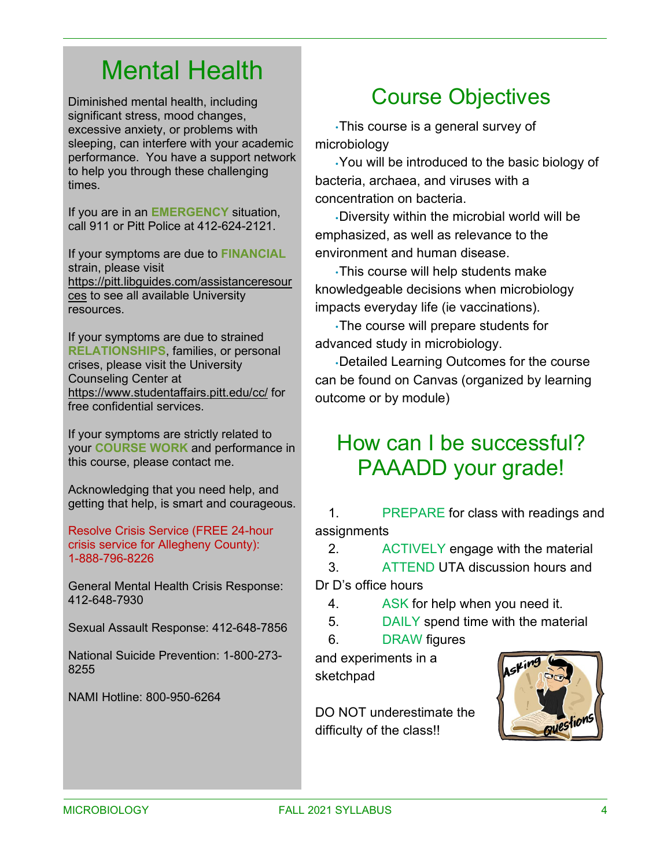# Mental Health

Diminished mental health, including significant stress, mood changes, excessive anxiety, or problems with sleeping, can interfere with your academic performance. You have a support network to help you through these challenging times.

If you are in an **EMERGENCY** situation, call 911 or Pitt Police at 412-624-2121.

If your symptoms are due to **FINANCIAL** strain, please visit [https://pitt.libguides.com/assistanceresour](https://pitt.libguides.com/assistanceresources) [ces](https://pitt.libguides.com/assistanceresources) to see all available University resources.

If your symptoms are due to strained **RELATIONSHIPS**, families, or personal crises, please visit the University Counseling Center at <https://www.studentaffairs.pitt.edu/cc/> for free confidential services.

If your symptoms are strictly related to your **COURSE WORK** and performance in this course, please contact me.

Acknowledging that you need help, and getting that help, is smart and courageous.

Resolve Crisis Service (FREE 24-hour crisis service for Allegheny County): 1-888-796-8226

General Mental Health Crisis Response: 412-648-7930

Sexual Assault Response: 412-648-7856

National Suicide Prevention: 1-800-273- 8255

NAMI Hotline: 800-950-6264

### Course Objectives

•This course is a general survey of microbiology

•You will be introduced to the basic biology of bacteria, archaea, and viruses with a concentration on bacteria.

•Diversity within the microbial world will be emphasized, as well as relevance to the environment and human disease.

•This course will help students make knowledgeable decisions when microbiology impacts everyday life (ie vaccinations).

•The course will prepare students for advanced study in microbiology.

•Detailed Learning Outcomes for the course can be found on Canvas (organized by learning outcome or by module)

#### How can I be successful? PAAADD your grade!

1. PREPARE for class with readings and assignments

2. ACTIVELY engage with the material

3. ATTEND UTA discussion hours and

Dr D's office hours

- 4. ASK for help when you need it.
- 5. DAILY spend time with the material
- 6. DRAW figures

and experiments in a sketchpad

DO NOT underestimate the difficulty of the class!!

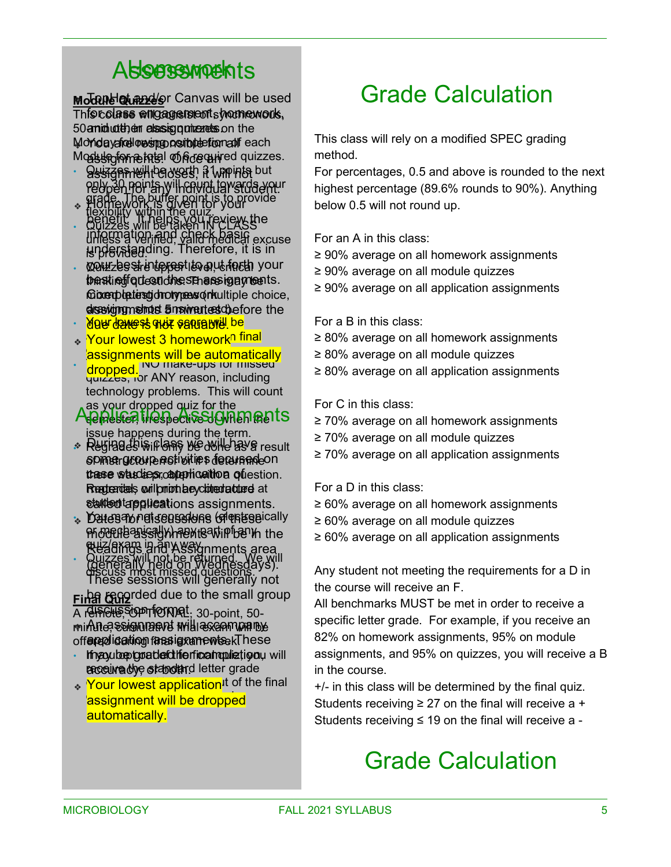# **Also Assess Movements**

<u>Modେ୍**ମାଧାର୍ ଏକ**୪୫</u>/କ୍ରା Canvas will be used This colase <del>w</del>ill cage relation work, 50 annid lutth) ein classisg quincentels on the Mondayafrellowshop posible efformal feach Modulegiometatel on hore anned quizzes.

- · Ssiagnmeilthe west it will not put only 30 points will count towards your reopen for any individual student. grade. The buffer point is to provide
- flexibility within the quiz. • Quizzes will be taken IN CLASS unless a verified, valid medical excuse is provided.  $\leftrightarrow$  Homework is given for your benefit. It helps you review the information and check basic understanding. Therefore, it is in
- Quizzes are upper level, critical your best interest to put forth your thensting of question het send assign a probents. foixempletiesgid notypeas on tultiple choice, alssevigngmeindst answertes chefore the
- <u>. Ade gave is drot samaping pe</u>
- ◈ <mark>Your lowest 3 homework<sup>n final</mark></mark></sup> s are calcuments will be a assignments will be automatically
- **Recognitions** NO make-ups for missed quizzes, for ANY reason, including technology problems. This will count dropped.

#### as your dropped quiz for the Application Contraction Assignments issue happens during the term.

- $\ast$  Reginae shis in lang be donle have result spinstructor ersti bities determedeon these studies, capplication of uestion. Regueardeds wril primatule y clotecrlatured at stuitent applications assignments.
- You may not reproduce (electronically ❖ Dates for discussions of these <del>ମ</del>ାଡ଼ିଓ ଜାତି କାର୍ଯ୍<del>ଡିସ କରା</del> ଉଚ୍ଚ ଜାତି କରିଥିଲେ the quiz/exam in any way. Readings and Assignments area
- Quizzes will not be returned. We will discuss most missed questions. (generally held on Wednesdays). These sessions will generally not

**Final Quiz** be recorded due to the small group A relissible, Stoph Tornal, 30-point, 50 $m$ in $\Lambda$ n $e$ ? Ssignulative mill assam will be off**ered ication fassigxanewtsekThese** 

- If you be to a the foll for final manufaction will **acceiva the standard letter grade**
- ◈ <mark>Your lowest application</mark>It of the final assignment will be dropped automatically.

# Grade Calculation

This class will rely on a modified SPEC grading method.

For percentages, 0.5 and above is rounded to the next highest percentage (89.6% rounds to 90%). Anything below 0.5 will not round up.

For an A in this class:

- ≥ 90% average on all homework assignments
- ≥ 90% average on all module quizzes
- ≥ 90% average on all application assignments

For a B in this class:

- ≥ 80% average on all homework assignments
- ≥ 80% average on all module quizzes
- ≥ 80% average on all application assignments

For C in this class:

- ≥ 70% average on all homework assignments
- ≥ 70% average on all module quizzes
- ≥ 70% average on all application assignments

For a D in this class:

- ≥ 60% average on all homework assignments
- ≥ 60% average on all module quizzes
- ≥ 60% average on all application assignments

Any student not meeting the requirements for a D in the course will receive an F.

All benchmarks MUST be met in order to receive a specific letter grade. For example, if you receive an 82% on homework assignments, 95% on module assignments, and 95% on quizzes, you will receive a B in the course.

+/- in this class will be determined by the final quiz. Students receiving  $\geq$  27 on the final will receive a + Students receiving  $\leq 19$  on the final will receive a -

# Grade Calculation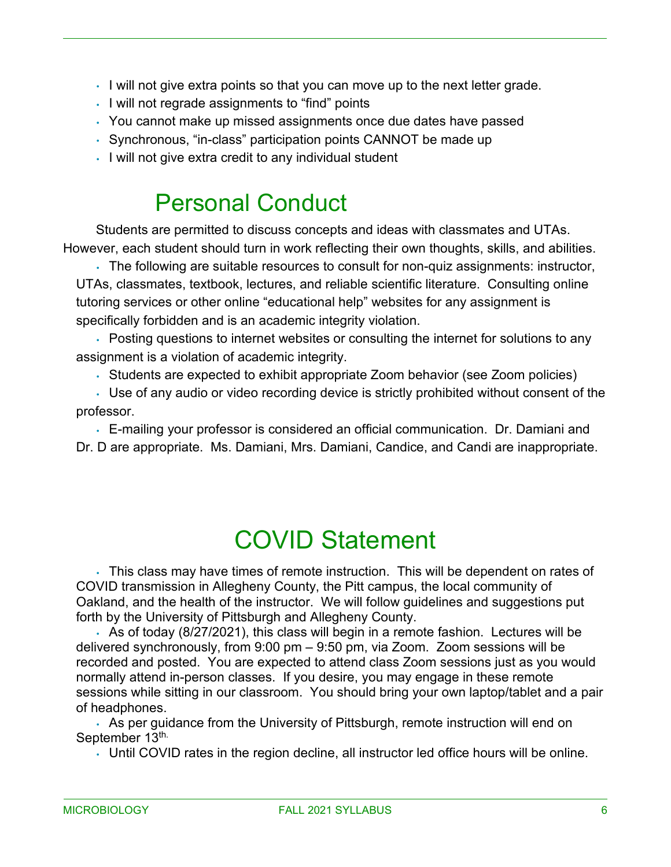- I will not give extra points so that you can move up to the next letter grade.
- I will not regrade assignments to "find" points
- You cannot make up missed assignments once due dates have passed
- Synchronous, "in-class" participation points CANNOT be made up
- I will not give extra credit to any individual student

### Personal Conduct

Students are permitted to discuss concepts and ideas with classmates and UTAs. However, each student should turn in work reflecting their own thoughts, skills, and abilities.

• The following are suitable resources to consult for non-quiz assignments: instructor, UTAs, classmates, textbook, lectures, and reliable scientific literature. Consulting online tutoring services or other online "educational help" websites for any assignment is specifically forbidden and is an academic integrity violation.

• Posting questions to internet websites or consulting the internet for solutions to any assignment is a violation of academic integrity.

• Students are expected to exhibit appropriate Zoom behavior (see Zoom policies)

• Use of any audio or video recording device is strictly prohibited without consent of the professor.

• E-mailing your professor is considered an official communication. Dr. Damiani and Dr. D are appropriate. Ms. Damiani, Mrs. Damiani, Candice, and Candi are inappropriate.

### COVID Statement

• This class may have times of remote instruction. This will be dependent on rates of COVID transmission in Allegheny County, the Pitt campus, the local community of Oakland, and the health of the instructor. We will follow guidelines and suggestions put forth by the University of Pittsburgh and Allegheny County.

• As of today (8/27/2021), this class will begin in a remote fashion. Lectures will be delivered synchronously, from 9:00 pm – 9:50 pm, via Zoom. Zoom sessions will be recorded and posted. You are expected to attend class Zoom sessions just as you would normally attend in-person classes. If you desire, you may engage in these remote sessions while sitting in our classroom. You should bring your own laptop/tablet and a pair of headphones.

• As per guidance from the University of Pittsburgh, remote instruction will end on September 13th.

• Until COVID rates in the region decline, all instructor led office hours will be online.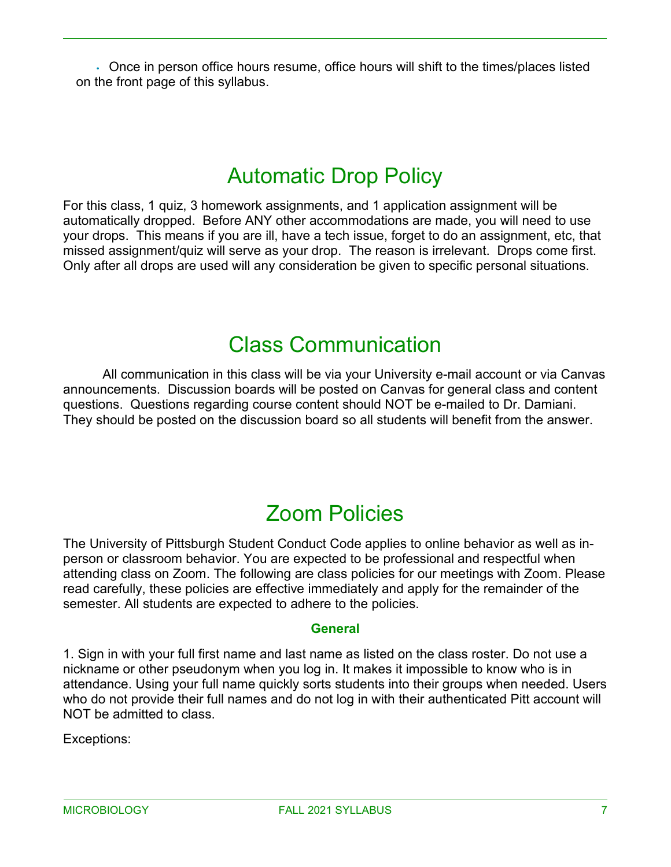• Once in person office hours resume, office hours will shift to the times/places listed on the front page of this syllabus.

### Automatic Drop Policy

For this class, 1 quiz, 3 homework assignments, and 1 application assignment will be automatically dropped. Before ANY other accommodations are made, you will need to use your drops. This means if you are ill, have a tech issue, forget to do an assignment, etc, that missed assignment/quiz will serve as your drop. The reason is irrelevant. Drops come first. Only after all drops are used will any consideration be given to specific personal situations.

#### Class Communication

All communication in this class will be via your University e-mail account or via Canvas announcements. Discussion boards will be posted on Canvas for general class and content questions. Questions regarding course content should NOT be e-mailed to Dr. Damiani. They should be posted on the discussion board so all students will benefit from the answer.

### Zoom Policies

The University of Pittsburgh Student Conduct Code applies to online behavior as well as inperson or classroom behavior. You are expected to be professional and respectful when attending class on Zoom. The following are class policies for our meetings with Zoom. Please read carefully, these policies are effective immediately and apply for the remainder of the semester. All students are expected to adhere to the policies.

#### **General**

1. Sign in with your full first name and last name as listed on the class roster. Do not use a nickname or other pseudonym when you log in. It makes it impossible to know who is in attendance. Using your full name quickly sorts students into their groups when needed. Users who do not provide their full names and do not log in with their authenticated Pitt account will NOT be admitted to class.

Exceptions: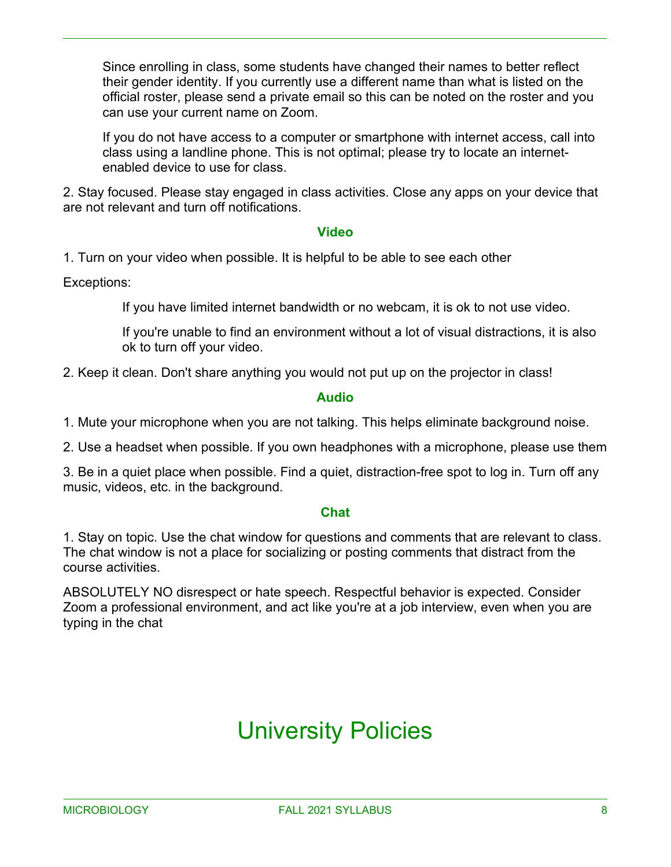Since enrolling in class, some students have changed their names to better reflect their gender identity. If you currently use a different name than what is listed on the official roster, please send a private email so this can be noted on the roster and you can use your current name on Zoom.

If you do not have access to a computer or smartphone with internet access, call into class using a landline phone. This is not optimal; please try to locate an internetenabled device to use for class.

2. Stay focused. Please stay engaged in class activities. Close any apps on your device that are not relevant and turn off notifications.

#### **Video**

1. Turn on your video when possible. It is helpful to be able to see each other

Exceptions:

If you have limited internet bandwidth or no webcam, it is ok to not use video.

If you're unable to find an environment without a lot of visual distractions, it is also ok to turn off your video.

2. Keep it clean. Don't share anything you would not put up on the projector in class!

#### **Audio**

1. Mute your microphone when you are not talking. This helps eliminate background noise.

2. Use a headset when possible. If you own headphones with a microphone, please use them

3. Be in a quiet place when possible. Find a quiet, distraction-free spot to log in. Turn off any music, videos, etc. in the background.

#### **Chat**

1. Stay on topic. Use the chat window for questions and comments that are relevant to class. The chat window is not a place for socializing or posting comments that distract from the course activities.

ABSOLUTELY NO disrespect or hate speech. Respectful behavior is expected. Consider Zoom a professional environment, and act like you're at a job interview, even when you are typing in the chat

# University Policies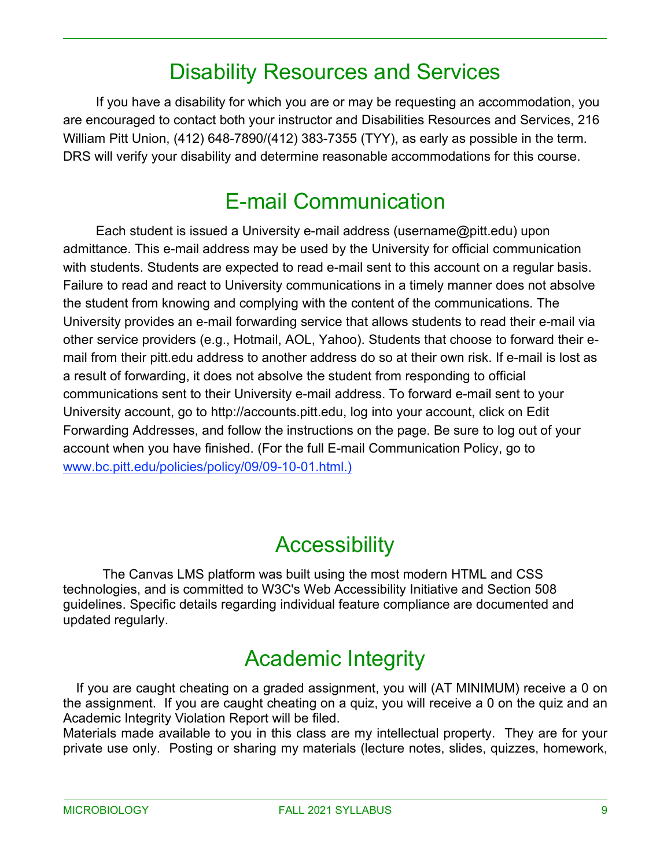### Disability Resources and Services

If you have a disability for which you are or may be requesting an accommodation, you are encouraged to contact both your instructor and Disabilities Resources and Services, 216 William Pitt Union, (412) 648-7890/(412) 383-7355 (TYY), as early as possible in the term. DRS will verify your disability and determine reasonable accommodations for this course.

### E-mail Communication

Each student is issued a University e-mail address (username@pitt.edu) upon admittance. This e-mail address may be used by the University for official communication with students. Students are expected to read e-mail sent to this account on a regular basis. Failure to read and react to University communications in a timely manner does not absolve the student from knowing and complying with the content of the communications. The University provides an e-mail forwarding service that allows students to read their e-mail via other service providers (e.g., Hotmail, AOL, Yahoo). Students that choose to forward their email from their pitt.edu address to another address do so at their own risk. If e-mail is lost as a result of forwarding, it does not absolve the student from responding to official communications sent to their University e-mail address. To forward e-mail sent to your University account, go to http://accounts.pitt.edu, log into your account, click on Edit Forwarding Addresses, and follow the instructions on the page. Be sure to log out of your account when you have finished. (For the full E-mail Communication Policy, go to [www.bc.pitt.edu/policies/policy/09/09-10-01.html.\)](http://www.bc.pitt.edu/policies/policy/09/09-10-01.html.))

#### **Accessibility**

The Canvas LMS platform was built using the most modern HTML and CSS technologies, and is committed to W3C's Web Accessibility Initiative and Section 508 guidelines. Specific details regarding individual feature compliance are documented and updated regularly.

### Academic Integrity

If you are caught cheating on a graded assignment, you will (AT MINIMUM) receive a 0 on the assignment. If you are caught cheating on a quiz, you will receive a 0 on the quiz and an Academic Integrity Violation Report will be filed.

Materials made available to you in this class are my intellectual property. They are for your private use only. Posting or sharing my materials (lecture notes, slides, quizzes, homework,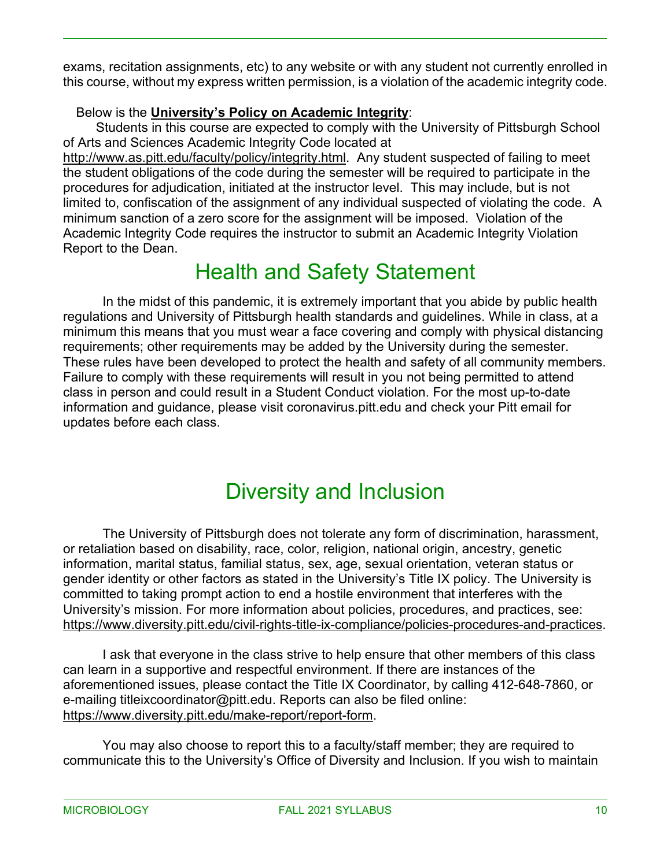exams, recitation assignments, etc) to any website or with any student not currently enrolled in this course, without my express written permission, is a violation of the academic integrity code.

#### Below is the **University's Policy on Academic Integrity**:

Students in this course are expected to comply with the University of Pittsburgh School of Arts and Sciences Academic Integrity Code located at

[http://www.as.pitt.edu/faculty/policy/integrity.html.](http://www.as.pitt.edu/faculty/policy/integrity.html) Any student suspected of failing to meet the student obligations of the code during the semester will be required to participate in the procedures for adjudication, initiated at the instructor level. This may include, but is not limited to, confiscation of the assignment of any individual suspected of violating the code. A minimum sanction of a zero score for the assignment will be imposed. Violation of the Academic Integrity Code requires the instructor to submit an Academic Integrity Violation Report to the Dean.

### Health and Safety Statement

In the midst of this pandemic, it is extremely important that you abide by public health regulations and University of Pittsburgh health standards and guidelines. While in class, at a minimum this means that you must wear a face covering and comply with physical distancing requirements; other requirements may be added by the University during the semester. These rules have been developed to protect the health and safety of all community members. Failure to comply with these requirements will result in you not being permitted to attend class in person and could result in a Student Conduct violation. For the most up-to-date information and guidance, please visit coronavirus.pitt.edu and check your Pitt email for updates before each class.

### Diversity and Inclusion

The University of Pittsburgh does not tolerate any form of discrimination, harassment, or retaliation based on disability, race, color, religion, national origin, ancestry, genetic information, marital status, familial status, sex, age, sexual orientation, veteran status or gender identity or other factors as stated in the University's Title IX policy. The University is committed to taking prompt action to end a hostile environment that interferes with the University's mission. For more information about policies, procedures, and practices, see: [https://www.diversity.pitt.edu/civil-rights-title-ix-compliance/policies-procedures-and-practices.](https://www.diversity.pitt.edu/civil-rights-title-ix-compliance/policies-procedures-and-practices)

I ask that everyone in the class strive to help ensure that other members of this class can learn in a supportive and respectful environment. If there are instances of the aforementioned issues, please contact the Title IX Coordinator, by calling 412-648-7860, or e-mailing titleixcoordinator@pitt.edu. Reports can also be filed online: [https://www.diversity.pitt.edu/make-report/report-form.](https://www.diversity.pitt.edu/make-report/report-form)

You may also choose to report this to a faculty/staff member; they are required to communicate this to the University's Office of Diversity and Inclusion. If you wish to maintain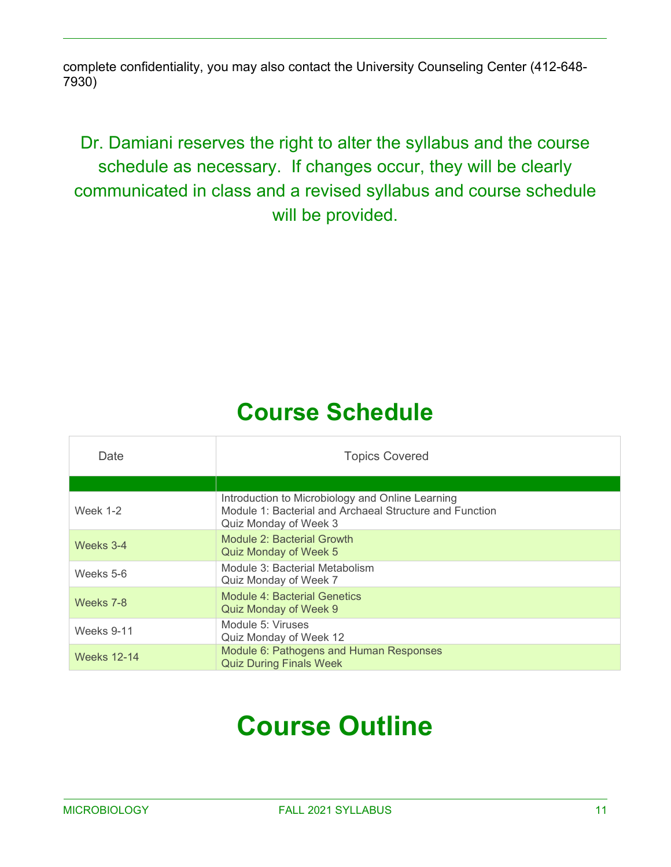complete confidentiality, you may also contact the University Counseling Center (412-648- 7930)

#### Dr. Damiani reserves the right to alter the syllabus and the course schedule as necessary. If changes occur, they will be clearly communicated in class and a revised syllabus and course schedule will be provided.

# **Course Schedule**

| Date               | <b>Topics Covered</b>                                                                                                                |
|--------------------|--------------------------------------------------------------------------------------------------------------------------------------|
|                    |                                                                                                                                      |
| <b>Week 1-2</b>    | Introduction to Microbiology and Online Learning<br>Module 1: Bacterial and Archaeal Structure and Function<br>Quiz Monday of Week 3 |
| Weeks 3-4          | Module 2: Bacterial Growth<br>Quiz Monday of Week 5                                                                                  |
| Weeks 5-6          | Module 3: Bacterial Metabolism<br>Quiz Monday of Week 7                                                                              |
| Weeks 7-8          | Module 4: Bacterial Genetics<br>Quiz Monday of Week 9                                                                                |
| Weeks 9-11         | Module 5: Viruses<br>Quiz Monday of Week 12                                                                                          |
| <b>Weeks 12-14</b> | Module 6: Pathogens and Human Responses<br><b>Quiz During Finals Week</b>                                                            |

# **Course Outline**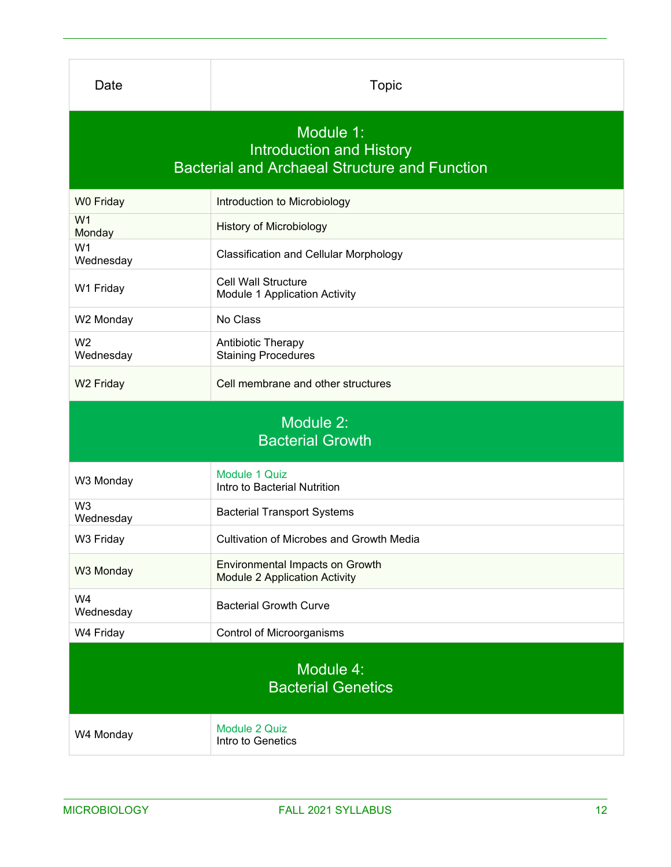| Date                                                                                                 | <b>Topic</b>                                                            |  |
|------------------------------------------------------------------------------------------------------|-------------------------------------------------------------------------|--|
| Module 1:<br><b>Introduction and History</b><br><b>Bacterial and Archaeal Structure and Function</b> |                                                                         |  |
| W0 Friday                                                                                            | Introduction to Microbiology                                            |  |
| W <sub>1</sub><br>Monday                                                                             | <b>History of Microbiology</b>                                          |  |
| W <sub>1</sub><br>Wednesday                                                                          | <b>Classification and Cellular Morphology</b>                           |  |
| W1 Friday                                                                                            | <b>Cell Wall Structure</b><br>Module 1 Application Activity             |  |
| W2 Monday                                                                                            | No Class                                                                |  |
| W <sub>2</sub><br>Wednesday                                                                          | Antibiotic Therapy<br><b>Staining Procedures</b>                        |  |
| W <sub>2</sub> Friday                                                                                | Cell membrane and other structures                                      |  |
| Module 2:<br><b>Bacterial Growth</b>                                                                 |                                                                         |  |
| W3 Monday                                                                                            | Module 1 Quiz<br>Intro to Bacterial Nutrition                           |  |
| W <sub>3</sub><br>Wednesday                                                                          | <b>Bacterial Transport Systems</b>                                      |  |
| W3 Friday                                                                                            | <b>Cultivation of Microbes and Growth Media</b>                         |  |
| W3 Monday                                                                                            | Environmental Impacts on Growth<br><b>Module 2 Application Activity</b> |  |
| W4<br>Wednesday                                                                                      | <b>Bacterial Growth Curve</b>                                           |  |
|                                                                                                      |                                                                         |  |
| W4 Friday                                                                                            | Control of Microorganisms                                               |  |
|                                                                                                      | Module 4:<br><b>Bacterial Genetics</b>                                  |  |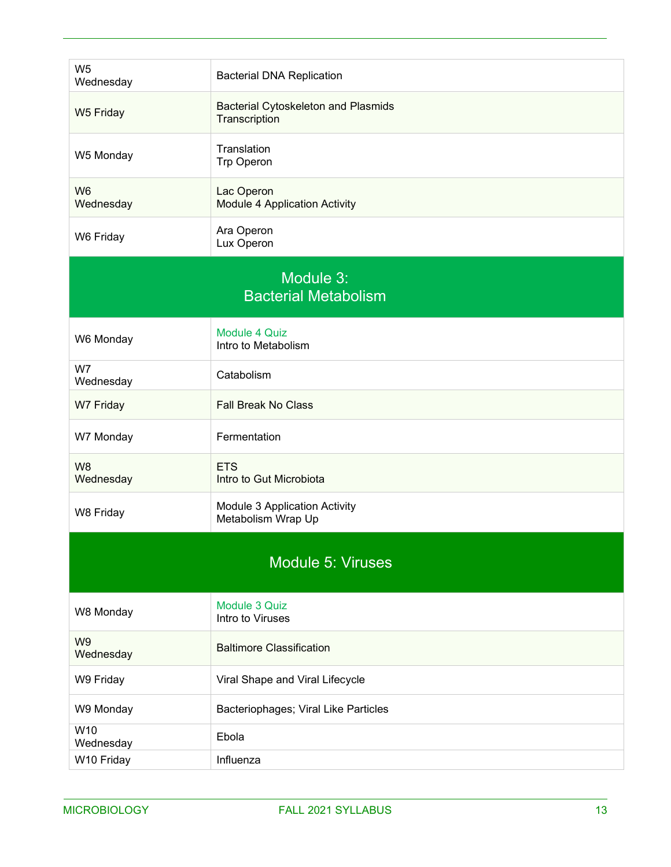| W <sub>5</sub><br>Wednesday              | <b>Bacterial DNA Replication</b>                            |  |
|------------------------------------------|-------------------------------------------------------------|--|
| W5 Friday                                | <b>Bacterial Cytoskeleton and Plasmids</b><br>Transcription |  |
| W5 Monday                                | Translation<br>Trp Operon                                   |  |
| W <sub>6</sub><br>Wednesday              | Lac Operon<br><b>Module 4 Application Activity</b>          |  |
| W6 Friday                                | Ara Operon<br>Lux Operon                                    |  |
| Module 3:<br><b>Bacterial Metabolism</b> |                                                             |  |
| W6 Monday                                | Module 4 Quiz<br>Intro to Metabolism                        |  |
| W7<br>Wednesday                          | Catabolism                                                  |  |
| W7 Friday                                | <b>Fall Break No Class</b>                                  |  |
| W7 Monday                                | Fermentation                                                |  |
| W <sub>8</sub><br>Wednesday              | <b>ETS</b><br>Intro to Gut Microbiota                       |  |
| W8 Friday                                | Module 3 Application Activity<br>Metabolism Wrap Up         |  |
| <b>Module 5: Viruses</b>                 |                                                             |  |
| W8 Monday                                | Module 3 Quiz<br>Intro to Viruses                           |  |
| W <sub>9</sub><br>Wednesday              | <b>Baltimore Classification</b>                             |  |
| W9 Friday                                | Viral Shape and Viral Lifecycle                             |  |
| W9 Monday                                | Bacteriophages; Viral Like Particles                        |  |
| W10<br>Wednesday                         | Ebola                                                       |  |
| W10 Friday                               | Influenza                                                   |  |